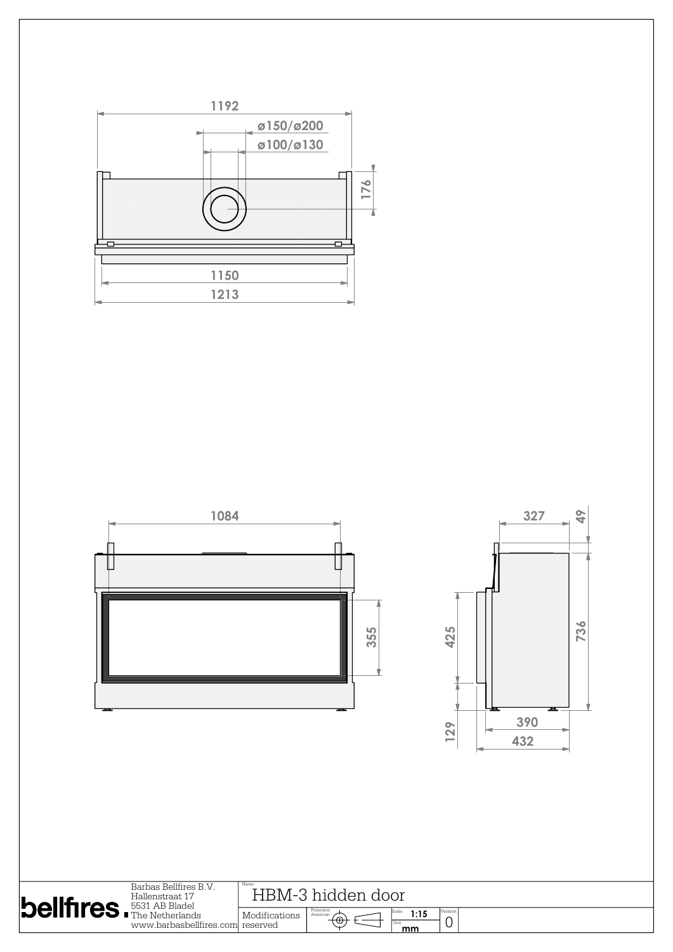

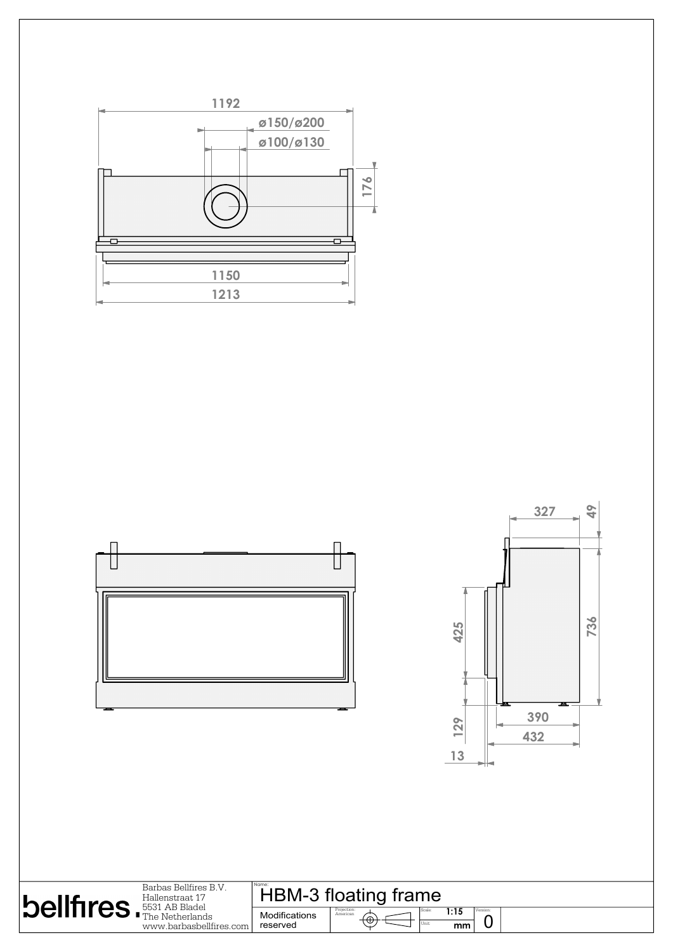

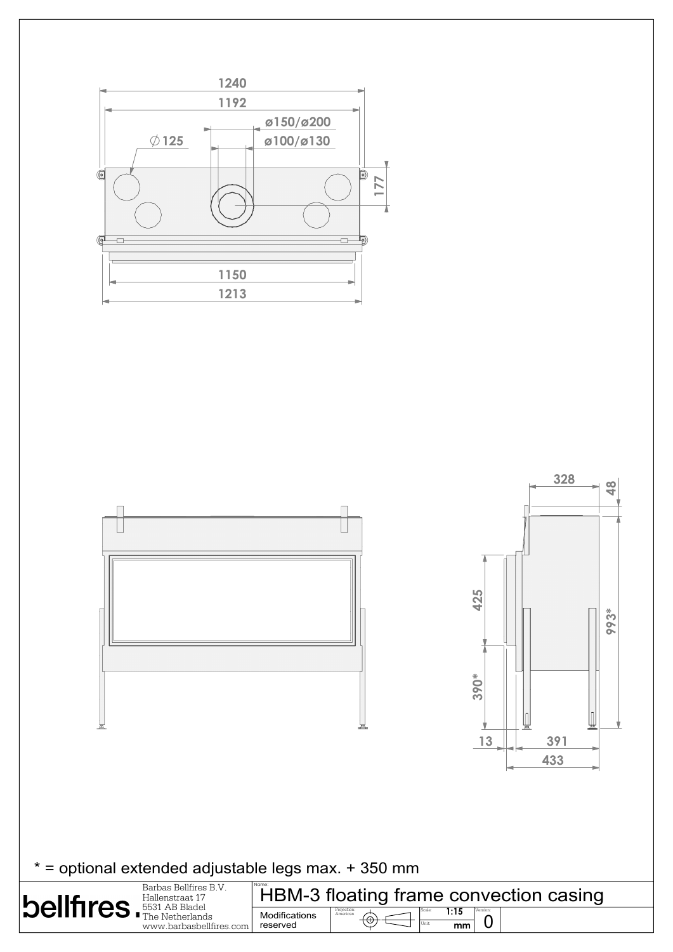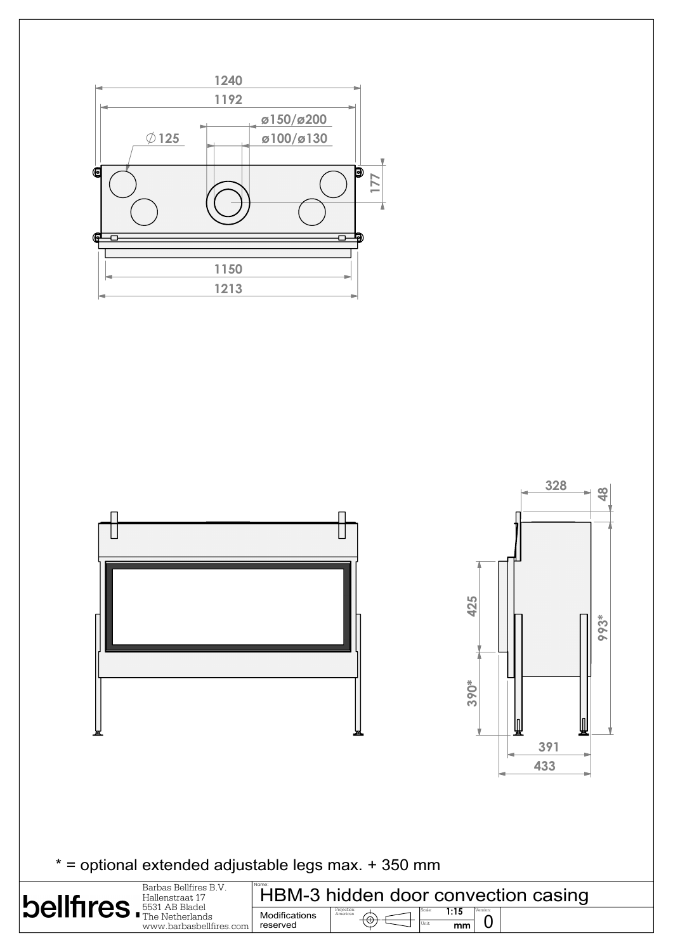

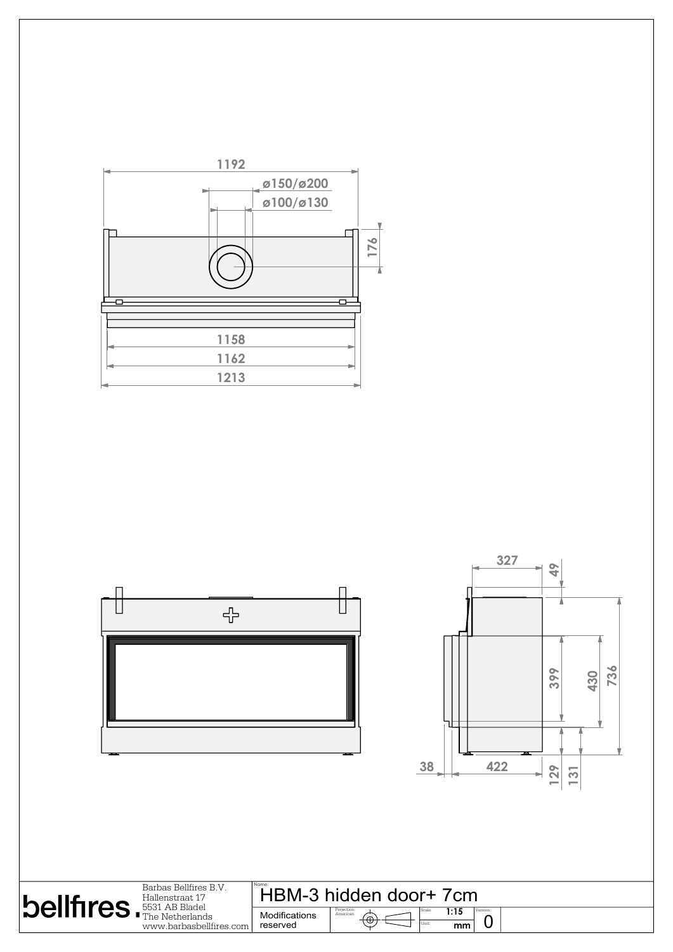

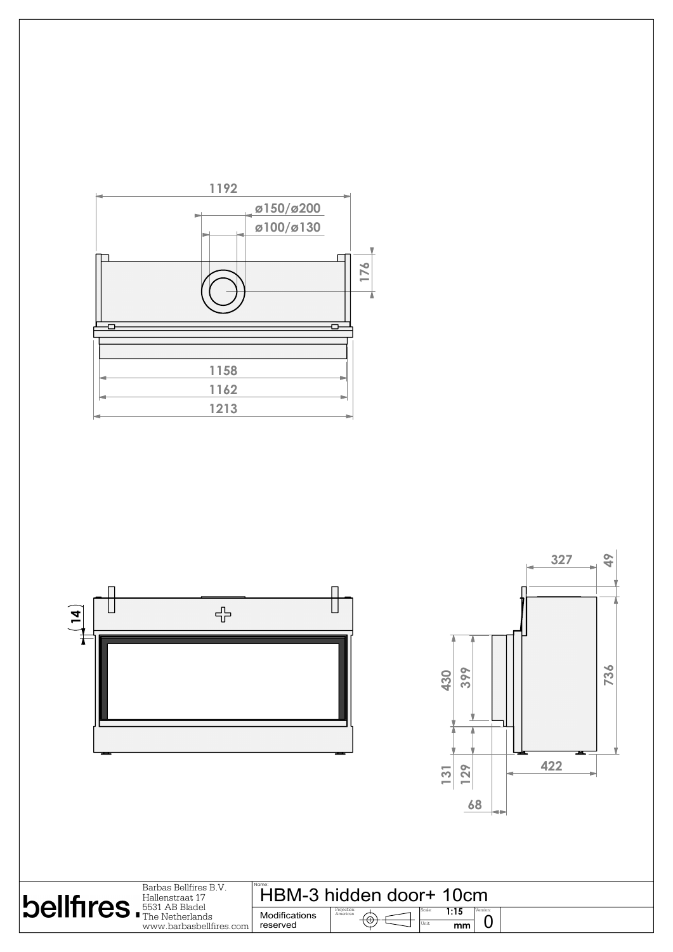